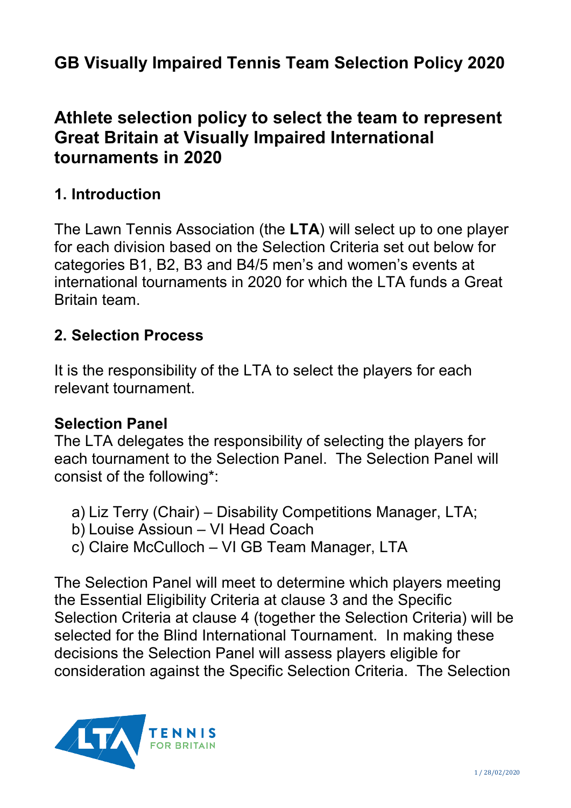# **GB Visually Impaired Tennis Team Selection Policy 2020**

## **Athlete selection policy to select the team to represent Great Britain at Visually Impaired International tournaments in 2020**

### **1. Introduction**

The Lawn Tennis Association (the **LTA**) will select up to one player for each division based on the Selection Criteria set out below for categories B1, B2, B3 and B4/5 men's and women's events at international tournaments in 2020 for which the LTA funds a Great Britain team.

#### **2. Selection Process**

It is the responsibility of the LTA to select the players for each relevant tournament.

#### **Selection Panel**

The LTA delegates the responsibility of selecting the players for each tournament to the Selection Panel. The Selection Panel will consist of the following\*:

- a) Liz Terry (Chair) Disability Competitions Manager, LTA;
- b) Louise Assioun VI Head Coach
- c) Claire McCulloch VI GB Team Manager, LTA

The Selection Panel will meet to determine which players meeting the Essential Eligibility Criteria at clause 3 and the Specific Selection Criteria at clause 4 (together the Selection Criteria) will be selected for the Blind International Tournament. In making these decisions the Selection Panel will assess players eligible for consideration against the Specific Selection Criteria. The Selection

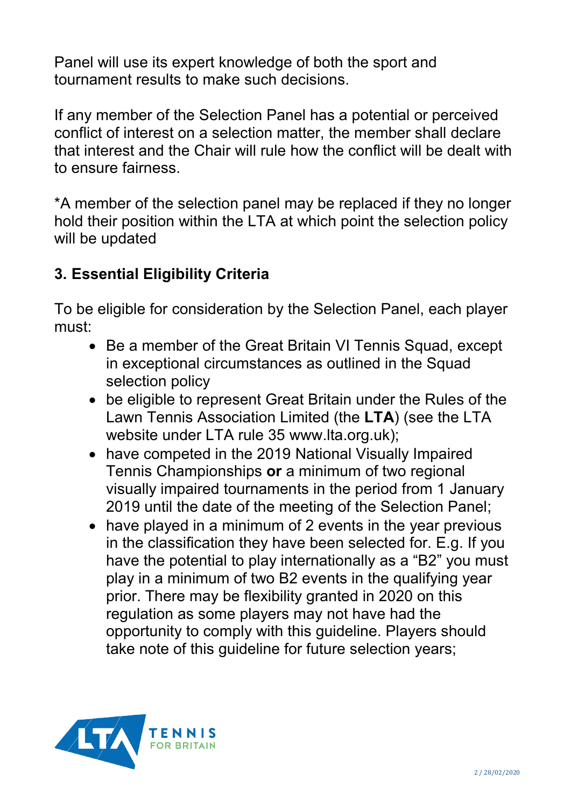Panel will use its expert knowledge of both the sport and tournament results to make such decisions.

If any member of the Selection Panel has a potential or perceived conflict of interest on a selection matter, the member shall declare that interest and the Chair will rule how the conflict will be dealt with to ensure fairness.

\*A member of the selection panel may be replaced if they no longer hold their position within the LTA at which point the selection policy will be updated

## **3. Essential Eligibility Criteria**

To be eligible for consideration by the Selection Panel, each player must:

- Be a member of the Great Britain VI Tennis Squad, except in exceptional circumstances as outlined in the Squad selection policy
- be eligible to represent Great Britain under the Rules of the Lawn Tennis Association Limited (the **LTA**) (see the LTA website under LTA rule 35 www.lta.org.uk);
- have competed in the 2019 National Visually Impaired Tennis Championships **or** a minimum of two regional visually impaired tournaments in the period from 1 January 2019 until the date of the meeting of the Selection Panel;
- have played in a minimum of 2 events in the year previous in the classification they have been selected for. E.g. If you have the potential to play internationally as a "B2" you must play in a minimum of two B2 events in the qualifying year prior. There may be flexibility granted in 2020 on this regulation as some players may not have had the opportunity to comply with this guideline. Players should take note of this guideline for future selection years;

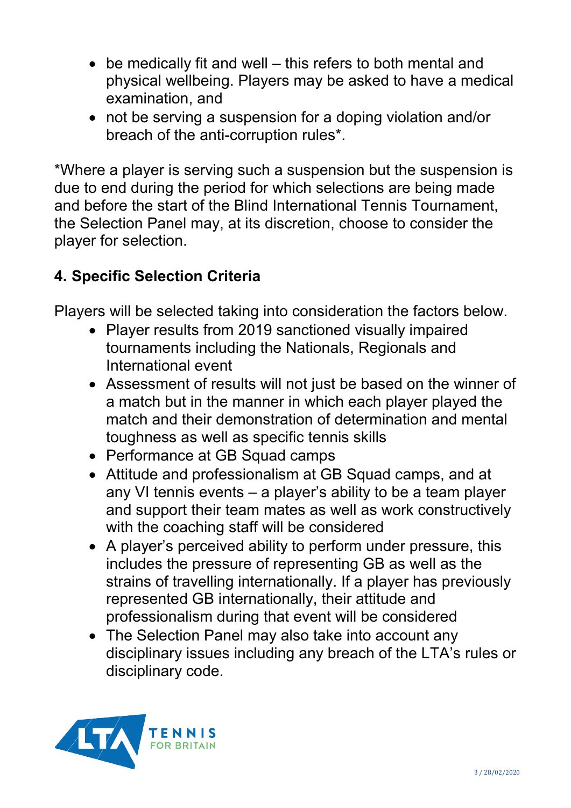- be medically fit and well this refers to both mental and physical wellbeing. Players may be asked to have a medical examination, and
- not be serving a suspension for a doping violation and/or breach of the anti-corruption rules\*.

\*Where a player is serving such a suspension but the suspension is due to end during the period for which selections are being made and before the start of the Blind International Tennis Tournament, the Selection Panel may, at its discretion, choose to consider the player for selection.

## **4. Specific Selection Criteria**

Players will be selected taking into consideration the factors below.

- Player results from 2019 sanctioned visually impaired tournaments including the Nationals, Regionals and International event
- Assessment of results will not just be based on the winner of a match but in the manner in which each player played the match and their demonstration of determination and mental toughness as well as specific tennis skills
- Performance at GB Squad camps
- Attitude and professionalism at GB Squad camps, and at any VI tennis events – a player's ability to be a team player and support their team mates as well as work constructively with the coaching staff will be considered
- A player's perceived ability to perform under pressure, this includes the pressure of representing GB as well as the strains of travelling internationally. If a player has previously represented GB internationally, their attitude and professionalism during that event will be considered
- The Selection Panel may also take into account any disciplinary issues including any breach of the LTA's rules or disciplinary code.

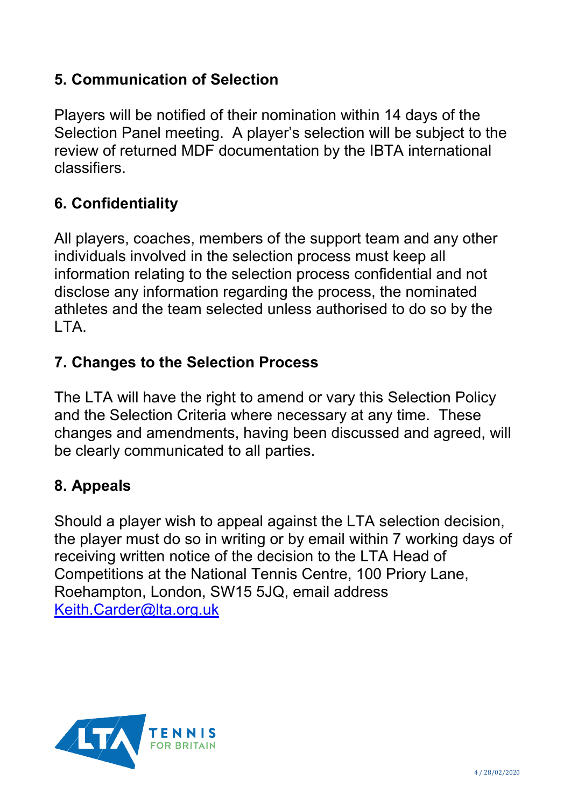## **5. Communication of Selection**

Players will be notified of their nomination within 14 days of the Selection Panel meeting. A player's selection will be subject to the review of returned MDF documentation by the IBTA international classifiers.

## **6. Confidentiality**

All players, coaches, members of the support team and any other individuals involved in the selection process must keep all information relating to the selection process confidential and not disclose any information regarding the process, the nominated athletes and the team selected unless authorised to do so by the LTA.

### **7. Changes to the Selection Process**

The LTA will have the right to amend or vary this Selection Policy and the Selection Criteria where necessary at any time. These changes and amendments, having been discussed and agreed, will be clearly communicated to all parties.

### **8. Appeals**

Should a player wish to appeal against the LTA selection decision, the player must do so in writing or by email within 7 working days of receiving written notice of the decision to the LTA Head of Competitions at the National Tennis Centre, 100 Priory Lane, Roehampton, London, SW15 5JQ, email address [Keith.Carder@lta.org.uk](mailto:Keith.Carder@lta.org.uk)